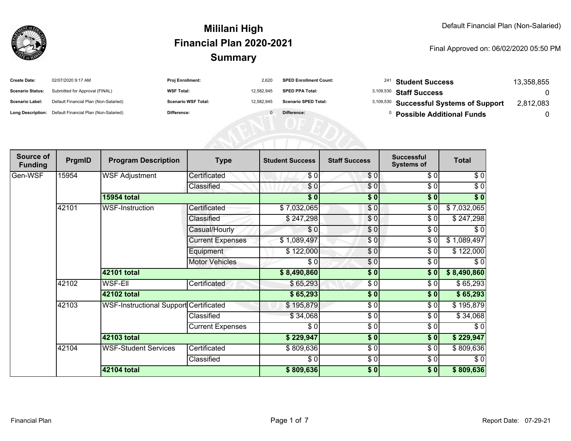

#### Final Approved on: 06/02/2020 05:50 PM

| <b>Create Date:</b>     | 02/07/2020 9:17 AM                                      | <b>Proj Enrollment:</b>    | 2.620      | <b>SPED Enrollment Count:</b> | <sup>241</sup> Student Success          | 13.358.855 |
|-------------------------|---------------------------------------------------------|----------------------------|------------|-------------------------------|-----------------------------------------|------------|
| <b>Scenario Status:</b> | Submitted for Approval (FINAL)                          | <b>WSF Total:</b>          | 12.582.945 | <b>SPED PPA Total:</b>        | 3,109,530 Staff Success                 |            |
| <b>Scenario Label:</b>  | Default Financial Plan (Non-Salaried)                   | <b>Scenario WSF Total:</b> | 12.582.945 | <b>Scenario SPED Total:</b>   | 3,109,530 Successful Systems of Support | 2,812,083  |
|                         | Long Description: Default Financial Plan (Non-Salaried) | Difference:                |            | Difference:                   | <b>Possible Additional Funds</b>        |            |

AFRICATED

| Source of<br><b>Funding</b> | PrgmID | <b>Program Description</b>                    | <b>Type</b>             | <b>Student Success</b> | <b>Staff Success</b> | <b>Successful</b><br><b>Systems of</b> | <b>Total</b> |
|-----------------------------|--------|-----------------------------------------------|-------------------------|------------------------|----------------------|----------------------------------------|--------------|
| Gen-WSF                     | 15954  | <b>WSF Adjustment</b>                         | Certificated            | \$0                    | \$0                  | \$0                                    | \$0          |
|                             |        |                                               | Classified              | \$0                    | \$0                  | \$0                                    | $\sqrt{6}$   |
|                             |        | <b>15954 total</b>                            |                         | \$0]                   | \$0                  | $\frac{1}{2}$                          | $\sqrt[6]{}$ |
|                             | 42101  | <b>WSF-Instruction</b>                        | Certificated            | \$7,032,065            | \$0                  | \$0                                    | \$7,032,065  |
|                             |        |                                               | Classified              | \$247,298              | \$0                  | \$0                                    | \$247,298    |
|                             |        |                                               | Casual/Hourly           | \$0                    | \$0                  | \$0                                    | \$0          |
|                             |        |                                               | <b>Current Expenses</b> | \$1,089,497            | \$0                  | \$0                                    | \$1,089,497  |
|                             |        |                                               | Equipment               | \$122,000              | \$0                  | \$0                                    | \$122,000    |
|                             |        |                                               | <b>Motor Vehicles</b>   | \$0                    | \$0                  | \$0                                    | $\sqrt{6}$   |
|                             |        | 42101 total                                   |                         | \$8,490,860            | \$0                  | \$0                                    | \$8,490,860  |
|                             | 42102  | <b>WSF-EII</b>                                | Certificated            | \$65,293               | \$0                  | \$0                                    | \$65,293     |
|                             |        | 42102 total                                   |                         | \$65,293               | \$0                  | \$0                                    | \$65,293     |
|                             | 42103  | <b>WSF-Instructional Support Certificated</b> |                         | \$195,879              | \$0                  | \$0                                    | \$195,879    |
|                             |        |                                               | Classified              | \$34,068               | \$0                  | \$0                                    | \$34,068     |
|                             |        |                                               | <b>Current Expenses</b> | \$0                    | \$0                  | \$0                                    | \$0          |
|                             |        | 42103 total                                   |                         | \$229,947              | \$0                  | \$0                                    | \$229,947    |
|                             | 42104  | <b>WSF-Student Services</b>                   | Certificated            | \$809,636              | \$0                  | \$0                                    | \$809,636    |
|                             |        |                                               | Classified              | \$0]                   | \$0                  | \$0                                    | $\sqrt{6}$   |
|                             |        | 42104 total                                   |                         | \$809,636              | \$0                  | \$0                                    | \$809,636    |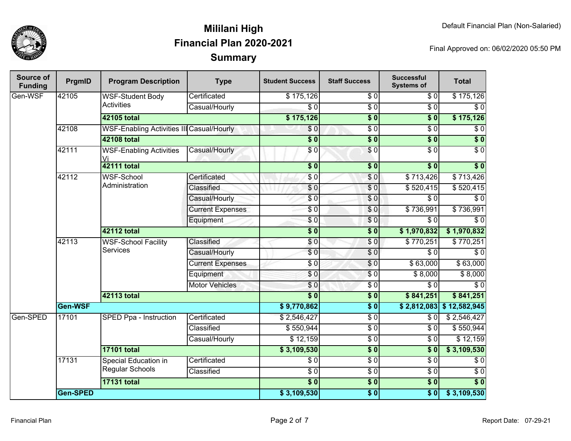

| Source of<br><b>Funding</b> | PrgmID   | <b>Program Description</b>                       | <b>Type</b>             | <b>Student Success</b> | <b>Staff Success</b> | <b>Successful</b><br><b>Systems of</b> | <b>Total</b>     |
|-----------------------------|----------|--------------------------------------------------|-------------------------|------------------------|----------------------|----------------------------------------|------------------|
| Gen-WSF                     | 42105    | <b>WSF-Student Body</b>                          | Certificated            | \$175,126              | \$0                  | \$0                                    | \$175,126        |
|                             |          | <b>Activities</b>                                | Casual/Hourly           | $\overline{S}0$        | $\overline{\$0}$     | $\overline{S}0$                        | $\overline{50}$  |
|                             |          | 42105 total                                      |                         | \$175,126              | $\overline{\$0}$     | $\overline{\$0}$                       | \$175,126        |
|                             | 42108    | <b>WSF-Enabling Activities III Casual/Hourly</b> |                         | \$0                    | $\overline{\$0}$     | $\overline{30}$                        | $\overline{\$0}$ |
|                             |          | <b>42108 total</b>                               |                         | $\overline{\$0}$       | $\overline{\$0}$     | $\overline{\$0}$                       | $\overline{\$0}$ |
|                             | 42111    | <b>WSF-Enabling Activities</b><br>Vi             | Casual/Hourly           | \$0                    | \$0                  | $\overline{S}0$                        | $\overline{S}0$  |
|                             |          | <b>42111 total</b>                               |                         | $\overline{\$0}$       | $\sqrt{6}$           | $\overline{\$0}$                       | $\overline{\$0}$ |
|                             | 42112    | WSF-School                                       | Certificated            | \$0                    | \$0                  | \$713,426                              | \$713,426        |
|                             |          | Administration                                   | Classified              | $\overline{\$0}$       | $\sqrt{6}$           | \$520,415                              | \$520,415        |
|                             |          |                                                  | Casual/Hourly           | \$0                    | $\overline{\$0}$     | $\overline{\$0}$                       | $\overline{\$0}$ |
|                             |          |                                                  | <b>Current Expenses</b> | $\overline{S}0$        | $\sqrt{6}$           | \$736,991                              | \$736,991        |
|                             |          |                                                  | Equipment               | \$0                    | $\sqrt{6}$           | $\overline{\$0}$                       | $\overline{\$0}$ |
|                             |          | 42112 total                                      |                         | $\overline{\$0}$       | $\overline{\$0}$     | \$1,970,832                            | \$1,970,832      |
|                             | 42113    | <b>WSF-School Facility</b><br><b>Services</b>    | Classified              | \$0                    | $\sqrt{0}$           | \$770,251                              | \$770,251        |
|                             |          |                                                  | Casual/Hourly           | $\overline{\$0}$       | $\overline{\$0}$     | $\overline{\$0}$                       | $\overline{\$0}$ |
|                             |          |                                                  | <b>Current Expenses</b> | \$0                    | $\overline{\$0}$     | \$63,000                               | \$63,000         |
|                             |          |                                                  | Equipment               | \$0                    | $\overline{\$0}$     | \$8,000                                | \$8,000          |
|                             |          |                                                  | <b>Motor Vehicles</b>   | $\overline{\$0}$       | $\overline{\$0}$     | $\overline{\$0}$                       | \$0              |
|                             |          | 42113 total                                      |                         | $\overline{\$0}$       | $\sqrt{6}$           | \$841,251                              | \$841,251        |
|                             | Gen-WSF  |                                                  |                         | \$9,770,862            | $\overline{\$}0$     | \$2,812,083                            | \$12,582,945     |
| Gen-SPED                    | 17101    | SPED Ppa - Instruction                           | Certificated            | \$2,546,427            | $\sqrt{6}$           | \$0                                    | \$2,546,427      |
|                             |          |                                                  | Classified              | \$550,944              | $\overline{$}0$      | $\overline{\$0}$                       | \$550,944        |
|                             |          |                                                  | Casual/Hourly           | \$12,159               | $\overline{$}0$      | $\overline{\$0}$                       | \$12,159         |
|                             |          | <b>17101 total</b>                               |                         | \$3,109,530            | \$0                  | $\overline{\textbf{S}^0}$              | \$3,109,530      |
|                             | 17131    | <b>Special Education in</b>                      | Certificated            | $\overline{\$0}$       | $\overline{30}$      | $\overline{\$0}$                       | $\overline{\$0}$ |
|                             |          | Regular Schools                                  | Classified              | $\overline{\$0}$       | $\overline{60}$      | $\overline{\$0}$                       | $\overline{\$0}$ |
|                             |          | <b>17131 total</b>                               |                         | $\frac{1}{6}$          | $\overline{\$0}$     | $\overline{\$0}$                       | $\overline{\$0}$ |
|                             | Gen-SPED |                                                  |                         | \$3,109,530            | $\overline{\$0}$     | s <sub>0</sub>                         | \$3,109,530      |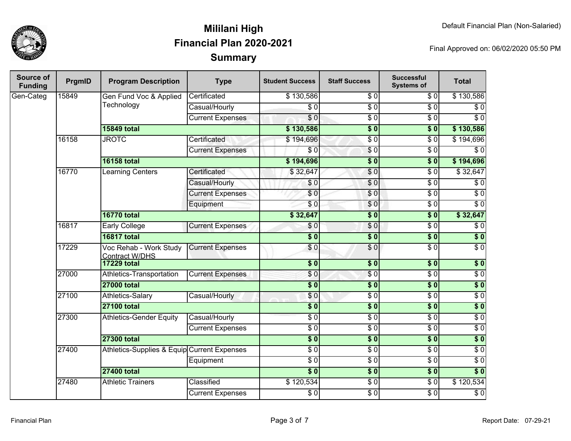

| <b>Source of</b><br><b>Funding</b> | PrgmID | <b>Program Description</b>                      | <b>Type</b>             | <b>Student Success</b>   | <b>Staff Success</b>        | <b>Successful</b><br><b>Systems of</b> | <b>Total</b>     |
|------------------------------------|--------|-------------------------------------------------|-------------------------|--------------------------|-----------------------------|----------------------------------------|------------------|
| Gen-Categ                          | 15849  | Gen Fund Voc & Applied                          | Certificated            | \$130,586                | $\overline{S}$ <sub>0</sub> | \$0                                    | \$130,586        |
|                                    |        | Technology                                      | Casual/Hourly           | $\sqrt{6}$               | $\overline{50}$             | $\overline{\$0}$                       | $\overline{60}$  |
|                                    |        |                                                 | <b>Current Expenses</b> | $\overline{\$0}$         | $\overline{50}$             | $\overline{\$0}$                       | $\overline{\$0}$ |
|                                    |        | <b>15849 total</b>                              |                         | \$130,586                | $\overline{\$0}$            | $\overline{\$0}$                       | \$130,586        |
|                                    | 16158  | <b>JROTC</b>                                    | Certificated            | \$194,696                | $\overline{\$0}$            | $\sqrt{6}$                             | \$194,696        |
|                                    |        |                                                 | <b>Current Expenses</b> | \$0                      | $\overline{S}0$             | $\overline{\$0}$                       | $\overline{\$0}$ |
|                                    |        | <b>16158 total</b>                              |                         | \$194,696                | $\overline{\$0}$            | $\overline{\$0}$                       | \$194,696        |
|                                    | 16770  | Learning Centers                                | Certificated            | \$32,647                 | $\overline{\$0}$            | $\sqrt{6}$                             | \$32,647         |
|                                    |        |                                                 | Casual/Hourly           | \$0                      | \$0                         | $\overline{\$0}$                       | $\sqrt{6}$       |
|                                    |        |                                                 | <b>Current Expenses</b> | $\overline{\$0}$         | \$0                         | $\sqrt{6}$                             | $\overline{60}$  |
|                                    |        |                                                 | Equipment               | \$0                      | \$0                         | $\sqrt{6}$                             | $\overline{\$0}$ |
|                                    |        | <b>16770 total</b>                              |                         | \$32,647                 | $\overline{\$0}$            | $\overline{\$}0$                       | \$32,647         |
|                                    | 16817  | <b>Early College</b>                            | <b>Current Expenses</b> | \$0                      | $\overline{\$0}$            | $\overline{\$0}$                       | $\sqrt{6}$       |
|                                    |        | <b>16817 total</b>                              |                         | $\overline{\$0}$         | $\overline{\$0}$            | $\overline{\$0}$                       | $\overline{\$0}$ |
|                                    | 17229  | Voc Rehab - Work Study<br><b>Contract W/DHS</b> | <b>Current Expenses</b> | \$0                      | \$0                         | $\overline{\$0}$                       | $\overline{\$0}$ |
|                                    |        | <b>17229 total</b>                              |                         | $\overline{\textbf{50}}$ | $\overline{\$0}$            | $\overline{\$0}$                       | $\overline{\$0}$ |
|                                    | 27000  | Athletics-Transportation                        | <b>Current Expenses</b> | \$0                      | $\overline{\$0}$            | $\overline{\$0}$                       | $\overline{\$0}$ |
|                                    |        | <b>27000 total</b>                              |                         | $\overline{\textbf{50}}$ | $\overline{\$0}$            | \$0                                    | $\sqrt{6}$       |
|                                    | 27100  | Athletics-Salary                                | Casual/Hourly           | \$0                      | $\overline{\$0}$            | $\overline{\$0}$                       | $\overline{60}$  |
|                                    |        | <b>27100 total</b>                              |                         | $\overline{\$0}$         | $\overline{\$0}$            | $\overline{\$0}$                       | $\overline{\$0}$ |
|                                    | 27300  | <b>Athletics-Gender Equity</b>                  | Casual/Hourly           | $\overline{\$0}$         | $\overline{\$0}$            | $\overline{\$0}$                       | $\overline{\$0}$ |
|                                    |        |                                                 | <b>Current Expenses</b> | $\overline{\$0}$         | $\overline{\$0}$            | $\overline{\$0}$                       | $\overline{\$0}$ |
|                                    |        | <b>27300 total</b>                              |                         | $\frac{1}{6}$            | $\overline{\$0}$            | $\sqrt{6}$                             | $\overline{\$0}$ |
|                                    | 27400  | Athletics-Supplies & Equip Current Expenses     |                         | $\overline{\$0}$         | $\overline{\$0}$            | $\overline{\$0}$                       | $\overline{\$0}$ |
|                                    |        |                                                 | Equipment               | $\overline{\$0}$         | $\overline{\$0}$            | $\overline{\$0}$                       | $\overline{\$0}$ |
|                                    |        | <b>27400 total</b>                              |                         | $\overline{\$0}$         | $\overline{\$0}$            | $\sqrt{6}$                             | $\overline{\$0}$ |
|                                    | 27480  | <b>Athletic Trainers</b>                        | Classified              | \$120,534                | $\overline{\$0}$            | $\overline{\$0}$                       | \$120,534        |
|                                    |        |                                                 | <b>Current Expenses</b> | $\overline{\$0}$         | $\overline{\$0}$            | $\overline{\$0}$                       | $\overline{60}$  |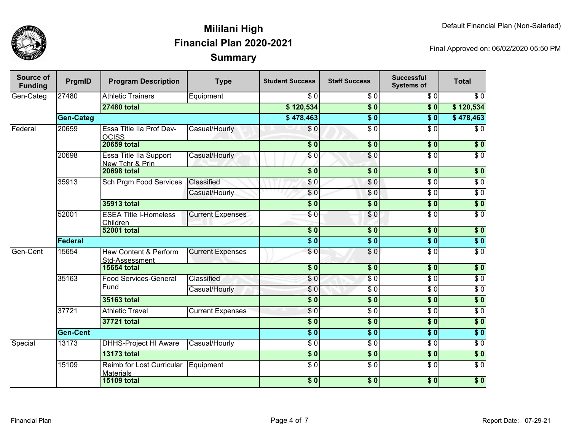

| <b>Source of</b><br><b>Funding</b> | PrgmID           | <b>Program Description</b>                     | <b>Type</b>                  | <b>Student Success</b>   | <b>Staff Success</b> | <b>Successful</b><br><b>Systems of</b> | <b>Total</b>     |                  |
|------------------------------------|------------------|------------------------------------------------|------------------------------|--------------------------|----------------------|----------------------------------------|------------------|------------------|
| Gen-Categ                          | 27480            | <b>Athletic Trainers</b>                       | Equipment                    | $\overline{\$0}$         | $\overline{\$0}$     | $\overline{\$0}$                       | $\overline{\$0}$ |                  |
|                                    |                  | <b>27480 total</b>                             |                              | \$120,534                | $\overline{\$0}$     | $\overline{\$0}$                       | \$120,534        |                  |
|                                    | <b>Gen-Categ</b> |                                                |                              | \$478,463                | $\overline{\$0}$     | $\overline{\$0}$                       | \$478,463        |                  |
| Federal                            | 20659            | Essa Title IIa Prof Dev-<br><b>OCISS</b>       | Casual/Hourly                | \$0                      | $\overline{\$0}$     | \$0                                    | $\sqrt{6}$       |                  |
|                                    |                  | <b>20659 total</b>                             |                              | $\overline{\textbf{50}}$ | $\overline{\$0}$     | $\overline{\$0}$                       | $\overline{\$0}$ |                  |
|                                    | 20698            | Essa Title IIa Support<br>New Tchr & Prin      | Casual/Hourly                | $\sqrt{3}0$              | \$0                  | $\overline{\$0}$                       | $\overline{\$0}$ |                  |
|                                    |                  | <b>20698 total</b>                             |                              | $\overline{\$0}$         | \$0                  | $\sqrt{6}$                             | \$0              |                  |
|                                    | 35913            | <b>Sch Prgm Food Services</b>                  | Classified                   | \$0                      | \$0                  | $\overline{S}0$                        | $\sqrt{6}$       |                  |
|                                    |                  |                                                | Casual/Hourly                | $\overline{\$0}$         | \$0                  | $\overline{\$0}$                       | $\sqrt{6}$       |                  |
|                                    |                  | 35913 total                                    |                              | $\overline{\$0}$         | $\overline{\$0}$     | $\overline{\$0}$                       | \$0              |                  |
|                                    | 52001            | <b>ESEA Title I-Homeless</b><br>Children       | <b>Current Expenses</b>      | \$0                      | \$0                  | $\sqrt{6}$                             | $\sqrt{6}$       |                  |
|                                    |                  | <b>52001 total</b>                             |                              | $\overline{\$0}$         | $\overline{\$0}$     | $\overline{\$0}$                       | $\overline{\$0}$ |                  |
|                                    | <b>Federal</b>   |                                                |                              | $\overline{\$0}$         | $\overline{\$0}$     | $\overline{\$0}$                       | $\overline{\$0}$ |                  |
| Gen-Cent                           | 15654            | Haw Content & Perform<br><b>Std-Assessment</b> | <b>Current Expenses</b>      | $\overline{\$0}$         | $\overline{S}0$      | $\overline{30}$                        | $\overline{\$0}$ |                  |
|                                    |                  | <b>15654 total</b>                             |                              | $\overline{\textbf{50}}$ | $\overline{\$0}$     | $\overline{\$0}$                       | $\overline{\$0}$ |                  |
|                                    | 35163            |                                                | <b>Food Services-General</b> | Classified               | \$0                  | $\overline{\$0}$                       | $\overline{\$0}$ | $\overline{\$0}$ |
|                                    |                  | Fund                                           | Casual/Hourly                | $\sqrt{6}$               | $\overline{\$0}$     | $\overline{\$0}$                       | $\overline{\$0}$ |                  |
|                                    |                  | 35163 total                                    |                              | $\overline{\$0}$         | $\overline{\$0}$     | $\overline{\$0}$                       | $\overline{\$0}$ |                  |
|                                    | 37721            | <b>Athletic Travel</b>                         | <b>Current Expenses</b>      | $\overline{\$0}$         | $\overline{\$0}$     | $\overline{\$0}$                       | $\overline{\$0}$ |                  |
|                                    |                  | 37721 total                                    |                              | $\overline{\textbf{50}}$ | $\overline{\$0}$     | $\overline{\$0}$                       | $\overline{\$0}$ |                  |
|                                    | <b>Gen-Cent</b>  |                                                |                              | $\overline{\$0}$         | $\overline{\$0}$     | $\overline{\$0}$                       | $\overline{\$0}$ |                  |
| Special                            | 13173            | <b>DHHS-Project HI Aware</b>                   | Casual/Hourly                | $\overline{\$0}$         | $\overline{\$0}$     | $\overline{\$0}$                       | $\overline{\$0}$ |                  |
|                                    |                  | <b>13173 total</b>                             |                              | $\overline{\$0}$         | $\sqrt{6}$           | $\overline{\$0}$                       | $\overline{\$0}$ |                  |
|                                    | 15109            | Reimb for Lost Curricular<br><b>Materials</b>  | Equipment                    | $\overline{\$0}$         | $\overline{\$0}$     | $\overline{\$0}$                       | $\overline{\$0}$ |                  |
|                                    |                  | <b>15109 total</b>                             |                              | $\overline{\$0}$         | \$0                  | $\sqrt{6}$                             | $\sqrt{6}$       |                  |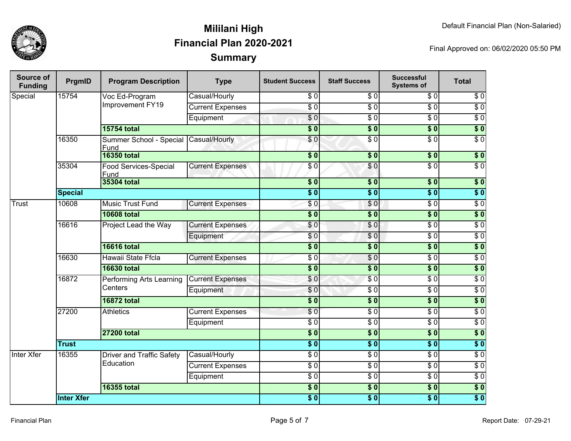

| <b>Source of</b><br><b>Funding</b> | PrgmID            | <b>Program Description</b>          | <b>Type</b>             | <b>Student Success</b>   | <b>Staff Success</b> | <b>Successful</b><br><b>Systems of</b> | <b>Total</b>     |
|------------------------------------|-------------------|-------------------------------------|-------------------------|--------------------------|----------------------|----------------------------------------|------------------|
| Special                            | 15754             | Voc Ed-Program                      | Casual/Hourly           | \$0                      | $\frac{3}{6}$        | $\sqrt{6}$                             | $\sqrt{6}$       |
|                                    |                   | Improvement FY19                    | <b>Current Expenses</b> | $\sqrt{6}$               | \$0                  | $\overline{S}0$                        | $\overline{\$0}$ |
|                                    |                   |                                     | Equipment               | $\sqrt{6}$               | $\overline{\$0}$     | $\overline{\$0}$                       | $\overline{\$0}$ |
|                                    |                   | <b>15754 total</b>                  |                         | $\overline{\$0}$         | $\overline{\$0}$     | $\overline{\$0}$                       | $\overline{\$0}$ |
|                                    | 16350             | Summer School - Special<br>Fund     | Casual/Hourly           | $\frac{6}{3}$            | $\overline{\$0}$     | $\sqrt{6}$                             | $\overline{\$0}$ |
|                                    |                   | <b>16350 total</b>                  |                         | \$0                      | $\overline{\$0}$     | $\overline{\$}0$                       | $\overline{\$}0$ |
|                                    | 35304             | Food Services-Special<br>Fund       | <b>Current Expenses</b> | $\frac{6}{6}$            | \$0                  | $\overline{\$0}$                       | $\overline{\$0}$ |
|                                    |                   | <b>35304 total</b>                  |                         | $\overline{\$0}$         | \$0                  | $\overline{\$0}$                       | $\overline{\$0}$ |
|                                    | <b>Special</b>    |                                     |                         | $\overline{\$0}$         | s <sub>0</sub>       | $\overline{\$0}$                       | $\overline{\$}0$ |
| Trust                              | 10608             | <b>Music Trust Fund</b>             | <b>Current Expenses</b> | $\frac{6}{3}$            | $\frac{6}{3}$        | $\sqrt{6}$                             | $\sqrt{6}$       |
|                                    |                   | <b>10608 total</b>                  |                         | $\frac{1}{2}$            | $\overline{\$0}$     | $\overline{\$0}$                       | $\overline{\$0}$ |
|                                    | 16616             | Project Lead the Way                | <b>Current Expenses</b> | \$0                      | \$0                  | $\sqrt{6}$                             | $\sqrt{6}$       |
|                                    |                   |                                     | Equipment               | \$0                      | \$0                  | $\overline{50}$                        | $\overline{30}$  |
|                                    |                   | <b>16616 total</b>                  |                         | $\overline{\$0}$         | $\overline{\$0}$     | $\overline{\$0}$                       | $\overline{\$0}$ |
|                                    | 16630             | Hawaii State Ffcla                  | <b>Current Expenses</b> | $\overline{\$0}$         | $\overline{\$0}$     | $\overline{\$0}$                       | $\overline{30}$  |
|                                    |                   | <b>16630 total</b>                  |                         | \$0                      | \$0                  | $\overline{\$0}$                       | $\overline{\$}0$ |
|                                    | 16872             | Performing Arts Learning<br>Centers | <b>Current Expenses</b> | \$0                      | \$0                  | $\overline{\$0}$                       | $\overline{\$0}$ |
|                                    |                   |                                     | Equipment               | $\frac{6}{3}$            | $\frac{3}{2}$        | \$0                                    | $\sqrt{6}$       |
|                                    |                   | <b>16872 total</b>                  |                         | $\overline{\$0}$         | $\frac{1}{2}$        | $\overline{\$0}$                       | $\overline{\$}0$ |
|                                    | 27200             | <b>Athletics</b>                    | <b>Current Expenses</b> | \$0                      | $\sqrt{6}$           | $\overline{\$0}$                       | $\sqrt{6}$       |
|                                    |                   |                                     | Equipment               | $\sqrt{6}$               | $\sqrt{6}$           | $\overline{\$0}$                       | $\sqrt{6}$       |
|                                    |                   | <b>27200 total</b>                  |                         | $\sqrt{6}$               | \$0                  | \$0                                    | $\overline{\$}0$ |
|                                    | <b>Trust</b>      |                                     |                         | $\overline{\$0}$         | s <sub>0</sub>       | $\overline{\$0}$                       | $\overline{\$}0$ |
| Inter Xfer                         | 16355             | Driver and Traffic Safety           | Casual/Hourly           | $rac{1}{\sigma}$         | $\sqrt{6}$           | $\overline{\$0}$                       | $\overline{\$0}$ |
|                                    |                   | Education                           | <b>Current Expenses</b> | $\overline{\frac{3}{2}}$ | \$0                  | $\overline{\$0}$                       | $\overline{\$0}$ |
|                                    |                   |                                     | Equipment               | $rac{1}{\sigma}$         | $\frac{6}{9}$        | $\sqrt{6}$                             | $\overline{\$0}$ |
|                                    |                   | <b>16355 total</b>                  |                         | $\frac{1}{2}$            | $\overline{\bullet}$ | $\overline{\$0}$                       | $\overline{\$}0$ |
|                                    | <b>Inter Xfer</b> |                                     |                         | $\overline{\$0}$         | \$0                  | $\overline{\$0}$                       | $\overline{\$0}$ |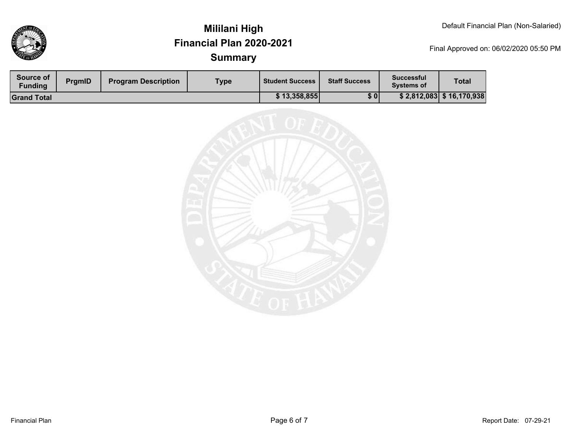

| Source of<br><b>Funding</b> | <b>PrgmID</b> | <b>Program Description</b> | <b>Type</b> | <b>Student Success</b> | <b>Staff Success</b> | Successful<br><b>Systems of</b> | <b>Total</b>             |
|-----------------------------|---------------|----------------------------|-------------|------------------------|----------------------|---------------------------------|--------------------------|
| <b>Grand Total</b>          |               |                            |             | \$13,358,855           | \$0                  |                                 | \$2,812,083 \$16,170,938 |